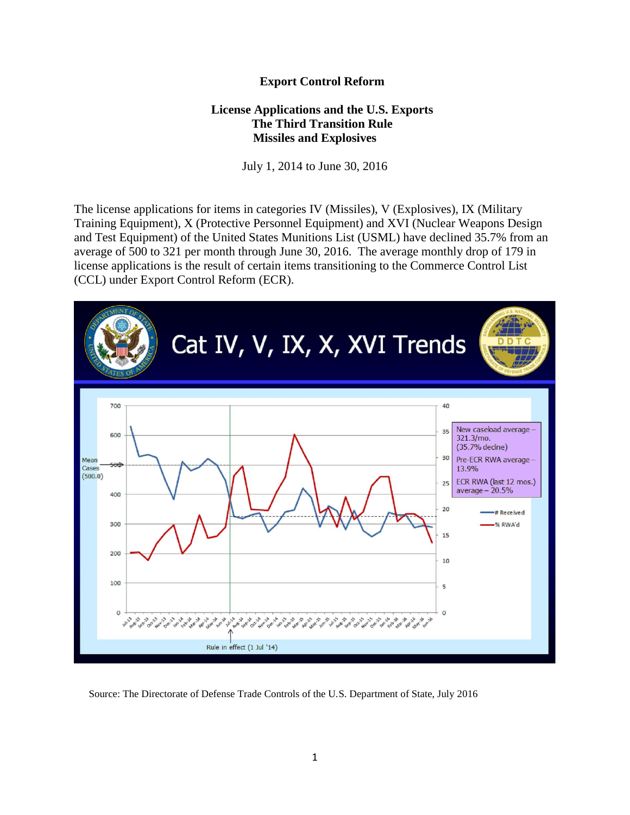## **Export Control Reform**

## **License Applications and the U.S. Exports The Third Transition Rule Missiles and Explosives**

July 1, 2014 to June 30, 2016

The license applications for items in categories IV (Missiles), V (Explosives), IX (Military Training Equipment), X (Protective Personnel Equipment) and XVI (Nuclear Weapons Design and Test Equipment) of the United States Munitions List (USML) have declined 35.7% from an average of 500 to 321 per month through June 30, 2016. The average monthly drop of 179 in license applications is the result of certain items transitioning to the Commerce Control List (CCL) under Export Control Reform (ECR).



Source: The Directorate of Defense Trade Controls of the U.S. Department of State, July 2016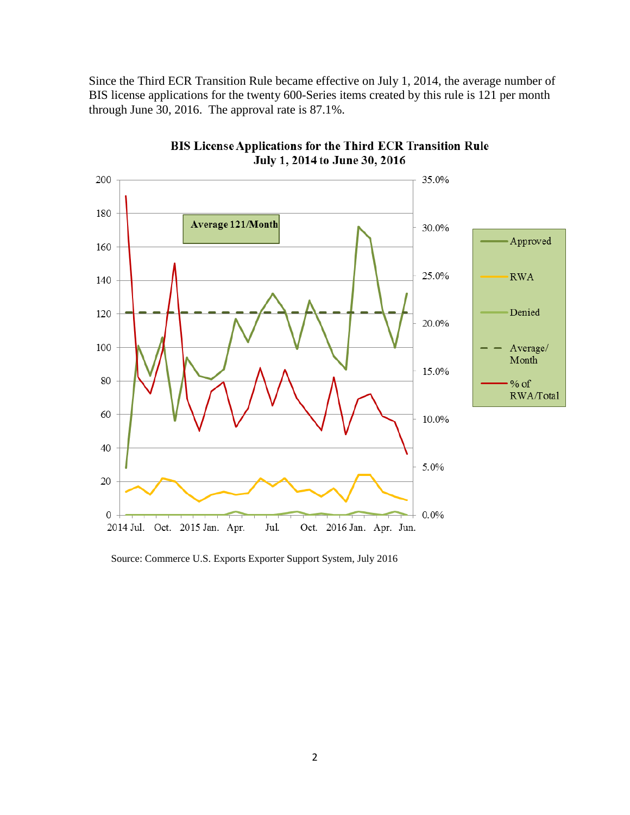Since the Third ECR Transition Rule became effective on July 1, 2014, the average number of BIS license applications for the twenty 600-Series items created by this rule is 121 per month through June 30, 2016. The approval rate is 87.1%.



BIS License Applications for the Third ECR Transition Rule July 1, 2014 to June 30, 2016

Source: Commerce U.S. Exports Exporter Support System, July 2016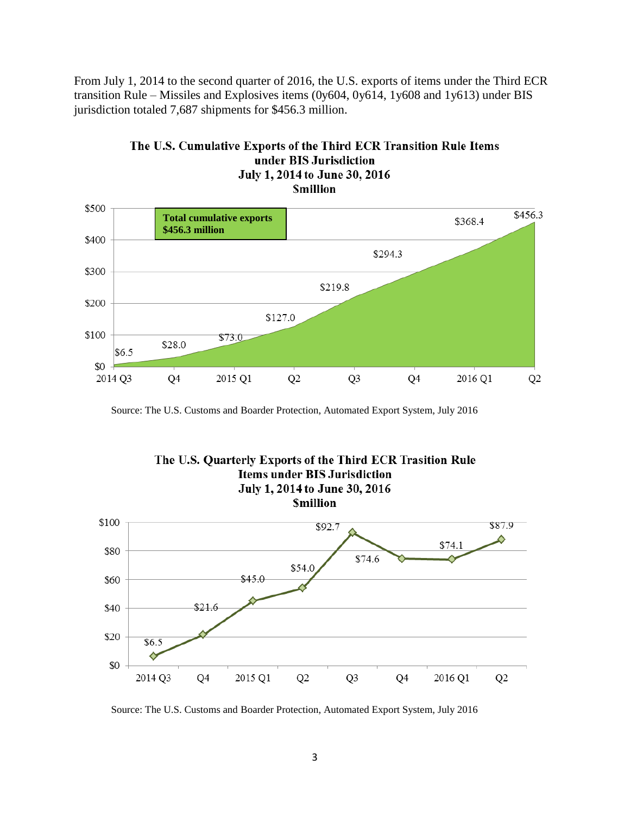From July 1, 2014 to the second quarter of 2016, the U.S. exports of items under the Third ECR transition Rule – Missiles and Explosives items (0y604, 0y614, 1y608 and 1y613) under BIS jurisdiction totaled 7,687 shipments for \$456.3 million.



## The U.S. Cumulative Exports of the Third ECR Transition Rule Items under BIS Jurisdiction July 1, 2014 to June 30, 2016

Source: The U.S. Customs and Boarder Protection, Automated Export System, July 2016



Source: The U.S. Customs and Boarder Protection, Automated Export System, July 2016